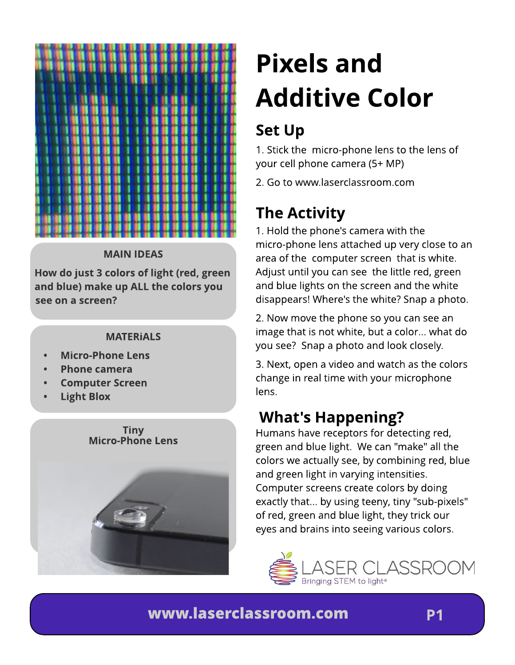

#### *MAIN IDEAS*

*How do just 3 colors of light (red, green and blue) m ake up ALL t he colors you see on a screen?*

#### *[MATERiALS](http://store.laserclassroom.com/light-blox/)*

- *- [Micro-Phone](http://store.laserclassroom.com/micro-phone-lens/) [Lens](http://store.laserclassroom.com/micro-phone-lens/)*
- *- [Phone](http://store.laserclassroom.com/light-blox/) [cam](http://store.laserclassroom.com/light-blox/) era*
- *- [Com](http://store.laserclassroom.com/light-blox/) put er [Screen](http://store.laserclassroom.com/light-blox/)*
- *- [Light](http://store.laserclassroom.com/light-blox/) [Blox](http://store.laserclassroom.com/light-blox/)*



# *Pixels and Addit ive Color*

# *Set Up*

1. Stick the micro-phone lens to the lens of your cell phone camera (5+ MP)

2. Go to www.laserclassroom.com

## **The Activity**

1. Hold the phone's camera with the [micro-phone](http://store.laserclassroom.com/micro-phone-lens/) [lens](http://store.laserclassroom.com/micro-phone-lens/) attached up very close to an area of the computer screen that is white. Adjust until you can see the little red, green and blue lights on the screen and the white disappears! Where's the white? Snap a photo.

2. Now move the phone so you can see an image that is not white, but a color... what do you see? Snap a photo and look closely.

3. Next, open a video and watch as the colors change in real time with your microphone lens.

### *What 's Happening?*

Humans have receptors for detecting red, green and blue light. We can "make" all the colors we actually see, by combining red, blue and green light in varying intensities. Computer screens create colors by doing exactly that... by using teeny, tiny "sub-pixels" of red, green and blue light, they trick our eyes and brains into seeing various colors.



#### *w w w [.laserclassroom](http://store.laserclassroom.com/micro-phone-lens/) .com*